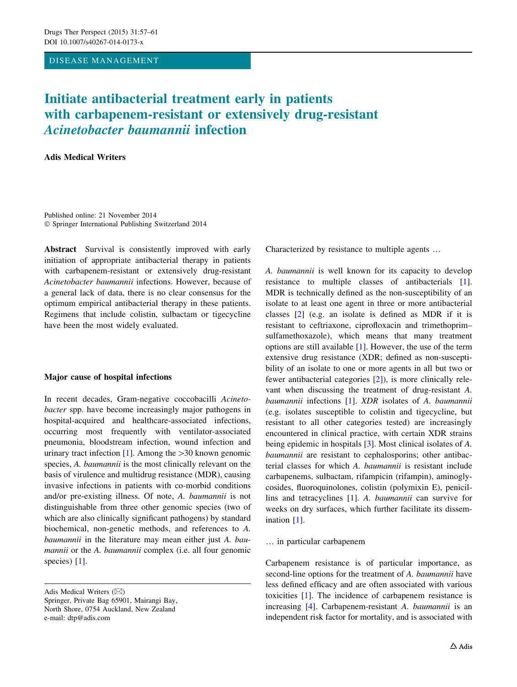## DISEASE MANAGEMENT

# Initiate antibacterial treatment early in patients with carbapenem-resistant or extensively drug-resistant Acinetobacter baumannii infection

# Adis Medical Writers

Published online: 21 November 2014 - Springer International Publishing Switzerland 2014

Abstract Survival is consistently improved with early initiation of appropriate antibacterial therapy in patients with carbapenem-resistant or extensively drug-resistant Acinetobacter baumannii infections. However, because of a general lack of data, there is no clear consensus for the optimum empirical antibacterial therapy in these patients. Regimens that include colistin, sulbactam or tigecycline have been the most widely evaluated.

## Major cause of hospital infections

In recent decades, Gram-negative coccobacilli Acinetobacter spp. have become increasingly major pathogens in hospital-acquired and healthcare-associated infections, occurring most frequently with ventilator-associated pneumonia, bloodstream infection, wound infection and urinary tract infection [[1\]](#page-3-0). Among the  $>$ 30 known genomic species, A. baumannii is the most clinically relevant on the basis of virulence and multidrug resistance (MDR), causing invasive infections in patients with co-morbid conditions and/or pre-existing illness. Of note, A. baumannii is not distinguishable from three other genomic species (two of which are also clinically significant pathogens) by standard biochemical, non-genetic methods, and references to A. baumannii in the literature may mean either just A. baumannii or the A. baumannii complex (i.e. all four genomic species) [[1\]](#page-3-0).

Characterized by resistance to multiple agents …

A. baumannii is well known for its capacity to develop resistance to multiple classes of antibacterials [\[1](#page-3-0)]. MDR is technically defined as the non-susceptibility of an isolate to at least one agent in three or more antibacterial classes [[2\]](#page-3-0) (e.g. an isolate is defined as MDR if it is resistant to ceftriaxone, ciprofloxacin and trimethoprim– sulfamethoxazole), which means that many treatment options are still available [\[1](#page-3-0)]. However, the use of the term extensive drug resistance (XDR; defined as non-susceptibility of an isolate to one or more agents in all but two or fewer antibacterial categories [\[2](#page-3-0)]), is more clinically relevant when discussing the treatment of drug-resistant A. baumannii infections [\[1\]](#page-3-0). XDR isolates of A. baumannii (e.g. isolates susceptible to colistin and tigecycline, but resistant to all other categories tested) are increasingly encountered in clinical practice, with certain XDR strains being epidemic in hospitals [[3\]](#page-3-0). Most clinical isolates of A. baumannii are resistant to cephalosporins; other antibacterial classes for which A. baumannii is resistant include carbapenems, sulbactam, rifampicin (rifampin), aminoglycosides, fluoroquinolones, colistin (polymixin E), penicillins and tetracyclines [\[1](#page-3-0)]. A. baumannii can survive for weeks on dry surfaces, which further facilitate its dissemination [[1\]](#page-3-0).

## … in particular carbapenem

Carbapenem resistance is of particular importance, as second-line options for the treatment of A. *baumannii* have less defined efficacy and are often associated with various toxicities [[1\]](#page-3-0). The incidence of carbapenem resistance is increasing [\[4](#page-3-0)]. Carbapenem-resistant A. baumannii is an independent risk factor for mortality, and is associated with

Adis Medical Writers  $(\boxtimes)$ 

Springer, Private Bag 65901, Mairangi Bay, North Shore, 0754 Auckland, New Zealand e-mail: dtp@adis.com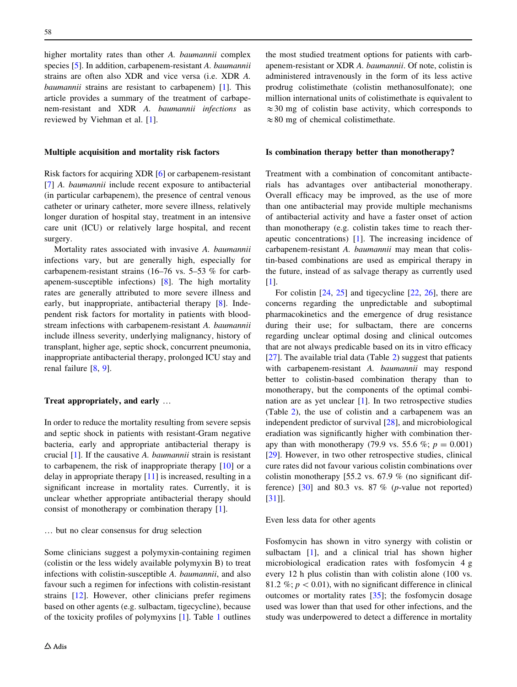higher mortality rates than other A. *baumannii* complex species [[5\]](#page-3-0). In addition, carbapenem-resistant A. baumannii strains are often also XDR and vice versa (i.e. XDR A. baumannii strains are resistant to carbapenem) [[1\]](#page-3-0). This article provides a summary of the treatment of carbapenem-resistant and XDR A. baumannii infections as reviewed by Viehman et al. [\[1](#page-3-0)].

#### Multiple acquisition and mortality risk factors

Risk factors for acquiring XDR [\[6](#page-3-0)] or carbapenem-resistant [\[7](#page-3-0)] A. baumannii include recent exposure to antibacterial (in particular carbapenem), the presence of central venous catheter or urinary catheter, more severe illness, relatively longer duration of hospital stay, treatment in an intensive care unit (ICU) or relatively large hospital, and recent surgery.

Mortality rates associated with invasive A. baumannii infections vary, but are generally high, especially for carbapenem-resistant strains (16–76 vs. 5–53 % for carbapenem-susceptible infections) [[8\]](#page-3-0). The high mortality rates are generally attributed to more severe illness and early, but inappropriate, antibacterial therapy [[8\]](#page-3-0). Independent risk factors for mortality in patients with bloodstream infections with carbapenem-resistant A. baumannii include illness severity, underlying malignancy, history of transplant, higher age, septic shock, concurrent pneumonia, inappropriate antibacterial therapy, prolonged ICU stay and renal failure [\[8](#page-3-0), [9](#page-3-0)].

#### Treat appropriately, and early …

In order to reduce the mortality resulting from severe sepsis and septic shock in patients with resistant-Gram negative bacteria, early and appropriate antibacterial therapy is crucial [[1\]](#page-3-0). If the causative A. baumannii strain is resistant to carbapenem, the risk of inappropriate therapy [\[10](#page-3-0)] or a delay in appropriate therapy [\[11](#page-3-0)] is increased, resulting in a significant increase in mortality rates. Currently, it is unclear whether appropriate antibacterial therapy should consist of monotherapy or combination therapy [[1\]](#page-3-0).

## … but no clear consensus for drug selection

Some clinicians suggest a polymyxin-containing regimen (colistin or the less widely available polymyxin B) to treat infections with colistin-susceptible A. baumannii, and also favour such a regimen for infections with colistin-resistant strains [\[12](#page-3-0)]. However, other clinicians prefer regimens based on other agents (e.g. sulbactam, tigecycline), because of the toxicity profiles of polymyxins [\[1](#page-3-0)]. Table [1](#page-2-0) outlines

the most studied treatment options for patients with carbapenem-resistant or XDR A. baumannii. Of note, colistin is administered intravenously in the form of its less active prodrug colistimethate (colistin methanosulfonate); one million international units of colistimethate is equivalent to  $\approx$ 30 mg of colistin base activity, which corresponds to  $\approx 80$  mg of chemical colistimethate.

#### Is combination therapy better than monotherapy?

Treatment with a combination of concomitant antibacterials has advantages over antibacterial monotherapy. Overall efficacy may be improved, as the use of more than one antibacterial may provide multiple mechanisms of antibacterial activity and have a faster onset of action than monotherapy (e.g. colistin takes time to reach therapeutic concentrations) [\[1](#page-3-0)]. The increasing incidence of carbapenem-resistant A. baumannii may mean that colistin-based combinations are used as empirical therapy in the future, instead of as salvage therapy as currently used [\[1](#page-3-0)].

For colistin [\[24](#page-4-0), [25](#page-4-0)] and tigecycline [\[22](#page-4-0), [26](#page-4-0)], there are concerns regarding the unpredictable and suboptimal pharmacokinetics and the emergence of drug resistance during their use; for sulbactam, there are concerns regarding unclear optimal dosing and clinical outcomes that are not always predicable based on its in vitro efficacy [\[27](#page-4-0)]. The available trial data (Table [2](#page-3-0)) suggest that patients with carbapenem-resistant A. baumannii may respond better to colistin-based combination therapy than to monotherapy, but the components of the optimal combination are as yet unclear [[1\]](#page-3-0). In two retrospective studies (Table [2\)](#page-3-0), the use of colistin and a carbapenem was an independent predictor of survival [\[28](#page-4-0)], and microbiological eradiation was significantly higher with combination therapy than with monotherapy (79.9 vs. 55.6 %;  $p = 0.001$ ) [\[29](#page-4-0)]. However, in two other retrospective studies, clinical cure rates did not favour various colistin combinations over colistin monotherapy [55.2 vs. 67.9 % (no significant difference)  $[30]$  $[30]$  and 80.3 vs. 87 % (*p*-value not reported) [\[31](#page-4-0)]].

## Even less data for other agents

Fosfomycin has shown in vitro synergy with colistin or sulbactam [[1\]](#page-3-0), and a clinical trial has shown higher microbiological eradication rates with fosfomycin 4 g every 12 h plus colistin than with colistin alone (100 vs. 81.2 %;  $p < 0.01$ ), with no significant difference in clinical outcomes or mortality rates [\[35](#page-4-0)]; the fosfomycin dosage used was lower than that used for other infections, and the study was underpowered to detect a difference in mortality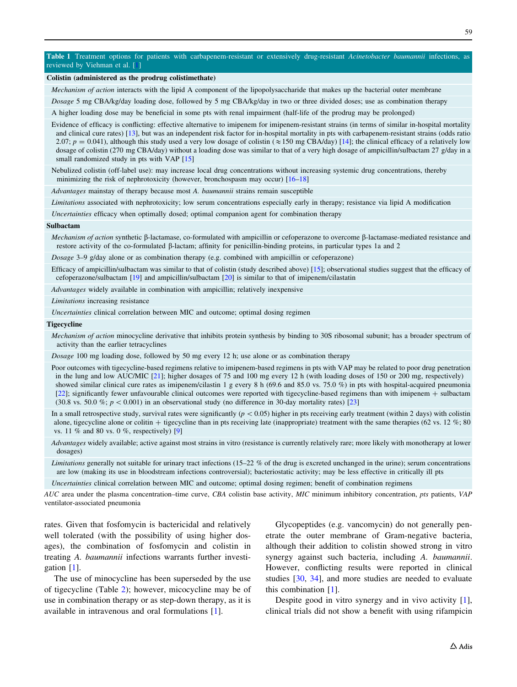#### <span id="page-2-0"></span>Table 1 Treatment options for patients with carbapenem-resistant or extensively drug-resistant Acinetobacter baumannii infections, as reviewed by Viehman et al. [[1\]](#page-3-0)

#### Colistin (administered as the prodrug colistimethate)

Mechanism of action interacts with the lipid A component of the lipopolysaccharide that makes up the bacterial outer membrane

Dosage 5 mg CBA/kg/day loading dose, followed by 5 mg CBA/kg/day in two or three divided doses; use as combination therapy

A higher loading dose may be beneficial in some pts with renal impairment (half-life of the prodrug may be prolonged)

Evidence of efficacy is conflicting: effective alternative to imipenem for imipenem-resistant strains (in terms of similar in-hospital mortality and clinical cure rates) [[13](#page-3-0)], but was an independent risk factor for in-hospital mortality in pts with carbapenem-resistant strains (odds ratio 2.07;  $p = 0.041$ ), although this study used a very low dosage of colistin ( $\approx 150$  mg CBA/day) [[14](#page-3-0)]; the clinical efficacy of a relatively low dosage of colistin (270 mg CBA/day) without a loading dose was similar to that of a very high dosage of ampicillin/sulbactam 27 g/day in a small randomized study in pts with VAP [\[15\]](#page-3-0)

Nebulized colistin (off-label use): may increase local drug concentrations without increasing systemic drug concentrations, thereby minimizing the risk of nephrotoxicity (however, bronchospasm may occur) [\[16–](#page-3-0)[18](#page-4-0)]

Advantages mainstay of therapy because most A. baumannii strains remain susceptible

Limitations associated with nephrotoxicity; low serum concentrations especially early in therapy; resistance via lipid A modification

Uncertainties efficacy when optimally dosed; optimal companion agent for combination therapy

#### Sulbactam

Mechanism of action synthetic  $\beta$ -lactamase, co-formulated with ampicillin or cefoperazone to overcome  $\beta$ -lactamase-mediated resistance and restore activity of the co-formulated  $\beta$ -lactam; affinity for penicillin-binding proteins, in particular types 1a and 2

Dosage 3–9 g/day alone or as combination therapy (e.g. combined with ampicillin or cefoperazone)

Efficacy of ampicillin/sulbactam was similar to that of colistin (study described above) [\[15](#page-3-0)]; observational studies suggest that the efficacy of cefoperazone/sulbactam [\[19\]](#page-4-0) and ampicillin/sulbactam [[20](#page-4-0)] is similar to that of imipenem/cilastatin

Advantages widely available in combination with ampicillin; relatively inexpensive

Limitations increasing resistance

Uncertainties clinical correlation between MIC and outcome; optimal dosing regimen

#### **Tigecycline**

Mechanism of action minocycline derivative that inhibits protein synthesis by binding to 30S ribosomal subunit; has a broader spectrum of activity than the earlier tetracyclines

Dosage 100 mg loading dose, followed by 50 mg every 12 h; use alone or as combination therapy

Poor outcomes with tigecycline-based regimens relative to imipenem-based regimens in pts with VAP may be related to poor drug penetration in the lung and low AUC/MIC [\[21](#page-4-0)]; higher dosages of 75 and 100 mg every 12 h (with loading doses of 150 or 200 mg, respectively) showed similar clinical cure rates as imipenem/cilastin 1 g every 8 h (69.6 and 85.0 vs. 75.0 %) in pts with hospital-acquired pneumonia [[22](#page-4-0)]; significantly fewer unfavourable clinical outcomes were reported with tigecycline-based regimens than with imipenem + sulbactam (30.8 vs. 50.0 %;  $p < 0.001$ ) in an observational study (no difference in 30-day mortality rates) [[23](#page-4-0)]

In a small retrospective study, survival rates were significantly ( $p < 0.05$ ) higher in pts receiving early treatment (within 2 days) with colistin alone, tigecycline alone or colitin  $+$  tigecycline than in pts receiving late (inappropriate) treatment with the same therapies (62 vs. 12 %; 80 vs. 11 % and 80 vs. 0 %, respectively) [\[9](#page-3-0)]

Advantages widely available; active against most strains in vitro (resistance is currently relatively rare; more likely with monotherapy at lower dosages)

Limitations generally not suitable for urinary tract infections (15–22 % of the drug is excreted unchanged in the urine); serum concentrations are low (making its use in bloodstream infections controversial); bacteriostatic activity; may be less effective in critically ill pts

Uncertainties clinical correlation between MIC and outcome; optimal dosing regimen; benefit of combination regimens

AUC area under the plasma concentration–time curve, CBA colistin base activity, MIC minimum inhibitory concentration, pts patients, VAP ventilator-associated pneumonia

rates. Given that fosfomycin is bactericidal and relatively well tolerated (with the possibility of using higher dosages), the combination of fosfomycin and colistin in treating A. baumannii infections warrants further investigation [[1\]](#page-3-0).

The use of minocycline has been superseded by the use of tigecycline (Table [2\)](#page-3-0); however, micocycline may be of use in combination therapy or as step-down therapy, as it is available in intravenous and oral formulations [\[1](#page-3-0)].

Glycopeptides (e.g. vancomycin) do not generally penetrate the outer membrane of Gram-negative bacteria, although their addition to colistin showed strong in vitro synergy against such bacteria, including A. baumannii. However, conflicting results were reported in clinical studies [[30,](#page-4-0) [34](#page-4-0)], and more studies are needed to evaluate this combination [[1\]](#page-3-0).

Despite good in vitro synergy and in vivo activity [\[1](#page-3-0)], clinical trials did not show a benefit with using rifampicin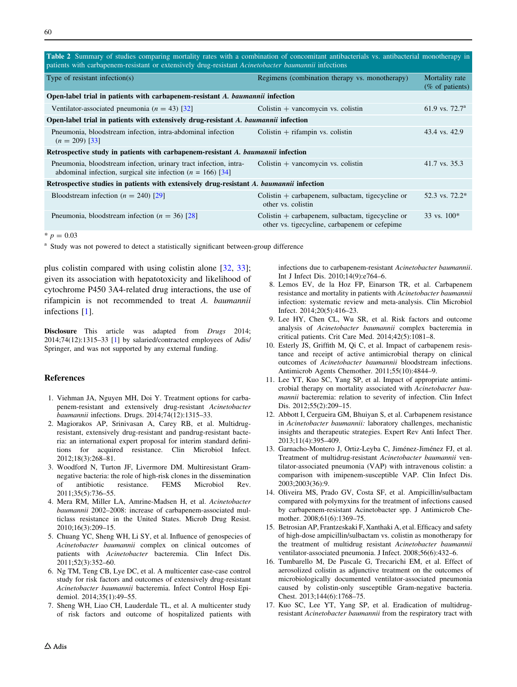<span id="page-3-0"></span>

| <b>Table 2</b> Summary of studies comparing mortality rates with a combination of concomitant antibacterials vs. antibacterial monotherapy in<br>patients with carbapenem-resistant or extensively drug-resistant Acinetobacter baumannii infections |                                                                                                     |                                   |
|------------------------------------------------------------------------------------------------------------------------------------------------------------------------------------------------------------------------------------------------------|-----------------------------------------------------------------------------------------------------|-----------------------------------|
| Type of resistant infection( $s$ )                                                                                                                                                                                                                   | Regimens (combination therapy vs. monotherapy)                                                      | Mortality rate<br>(% of patients) |
| Open-label trial in patients with carbapenem-resistant A. baumannii infection                                                                                                                                                                        |                                                                                                     |                                   |
| Ventilator-associated pneumonia ( $n = 43$ ) [32]                                                                                                                                                                                                    | Colistin $+$ vancomycin vs. colistin                                                                | 61.9 vs. $72.7^a$                 |
| Open-label trial in patients with extensively drug-resistant A. baumannii infection                                                                                                                                                                  |                                                                                                     |                                   |
| Pneumonia, bloodstream infection, intra-abdominal infection<br>$(n = 209)$ [33]                                                                                                                                                                      | Colistin $+$ rifampin vs. colistin                                                                  | 43.4 vs. 42.9                     |
| Retrospective study in patients with carbapenem-resistant A. baumannii infection                                                                                                                                                                     |                                                                                                     |                                   |
| Pneumonia, bloodstream infection, urinary tract infection, intra-<br>abdominal infection, surgical site infection ( $n = 166$ ) [34]                                                                                                                 | Colistin $+$ vancomycin vs. colistin                                                                | 41.7 vs. 35.3                     |
| Retrospective studies in patients with extensively drug-resistant A. baumannii infection                                                                                                                                                             |                                                                                                     |                                   |
| Bloodstream infection ( $n = 240$ ) [29]                                                                                                                                                                                                             | Colistin $+$ carbapenem, sulbactam, tigecycline or<br>other vs. colistin                            | 52.3 vs. 72.2*                    |
| Pneumonia, bloodstream infection ( $n = 36$ ) [28]                                                                                                                                                                                                   | Colistin $+$ carbapenem, sulbactam, tigecycline or<br>other vs. tigecycline, carbapenem or cefepime | 33 vs. $100*$                     |
| $\sim$ 0.00                                                                                                                                                                                                                                          |                                                                                                     |                                   |

 $p = 0.03$ 

<sup>a</sup> Study was not powered to detect a statistically significant between-group difference

plus colistin compared with using colistin alone [[32,](#page-4-0) [33](#page-4-0)]; given its association with hepatotoxicity and likelihood of cytochrome P450 3A4-related drug interactions, the use of rifampicin is not recommended to treat A. baumannii infections [1].

Disclosure This article was adapted from Drugs 2014; 2014;74(12):1315–33 [1] by salaried/contracted employees of Adis/ Springer, and was not supported by any external funding.

## References

- 1. Viehman JA, Nguyen MH, Doi Y. Treatment options for carbapenem-resistant and extensively drug-resistant Acinetobacter baumannii infections. Drugs. 2014;74(12):1315–33.
- 2. Magiorakos AP, Srinivasan A, Carey RB, et al. Multidrugresistant, extensively drug-resistant and pandrug-resistant bacteria: an international expert proposal for interim standard definitions for acquired resistance. Clin Microbiol Infect. 2012;18(3):268–81.
- 3. Woodford N, Turton JF, Livermore DM. Multiresistant Gramnegative bacteria: the role of high-risk clones in the dissemination of antibiotic resistance. FEMS Microbiol Rev. 2011;35(5):736–55.
- 4. Mera RM, Miller LA, Amrine-Madsen H, et al. Acinetobacter baumannii 2002–2008: increase of carbapenem-associated multiclass resistance in the United States. Microb Drug Resist. 2010;16(3):209–15.
- 5. Chuang YC, Sheng WH, Li SY, et al. Influence of genospecies of Acinetobacter baumannii complex on clinical outcomes of patients with Acinetobacter bacteremia. Clin Infect Dis. 2011;52(3):352–60.
- 6. Ng TM, Teng CB, Lye DC, et al. A multicenter case-case control study for risk factors and outcomes of extensively drug-resistant Acinetobacter baumannii bacteremia. Infect Control Hosp Epidemiol. 2014;35(1):49–55.
- 7. Sheng WH, Liao CH, Lauderdale TL, et al. A multicenter study of risk factors and outcome of hospitalized patients with

infections due to carbapenem-resistant Acinetobacter baumannii. Int J Infect Dis. 2010;14(9):e764–6.

- 8. Lemos EV, de la Hoz FP, Einarson TR, et al. Carbapenem resistance and mortality in patients with Acinetobacter baumannii infection: systematic review and meta-analysis. Clin Microbiol Infect. 2014;20(5):416–23.
- 9. Lee HY, Chen CL, Wu SR, et al. Risk factors and outcome analysis of Acinetobacter baumannii complex bacteremia in critical patients. Crit Care Med. 2014;42(5):1081–8.
- 10. Esterly JS, Griffith M, Qi C, et al. Impact of carbapenem resistance and receipt of active antimicrobial therapy on clinical outcomes of Acinetobacter baumannii bloodstream infections. Antimicrob Agents Chemother. 2011;55(10):4844–9.
- 11. Lee YT, Kuo SC, Yang SP, et al. Impact of appropriate antimicrobial therapy on mortality associated with Acinetobacter baumannii bacteremia: relation to severity of infection. Clin Infect Dis. 2012;55(2):209–15.
- 12. Abbott I, Cergueira GM, Bhuiyan S, et al. Carbapenem resistance in Acinetobacter baumannii: laboratory challenges, mechanistic insights and therapeutic strategies. Expert Rev Anti Infect Ther. 2013;11(4):395–409.
- 13. Garnacho-Montero J, Ortiz-Leyba C, Jiménez-Jiménez FJ, et al. Treatment of multidrug-resistant Acinetobacter baumannii ventilator-associated pneumonia (VAP) with intravenous colistin: a comparison with imipenem-susceptible VAP. Clin Infect Dis. 2003;2003(36):9.
- 14. Oliveira MS, Prado GV, Costa SF, et al. Ampicillin/sulbactam compared with polymyxins for the treatment of infections caused by carbapenem-resistant Acinetobacter spp. J Antimicrob Chemother. 2008;61(6):1369–75.
- 15. Betrosian AP, Frantzeskaki F, Xanthaki A, et al. Efficacy and safety of high-dose ampicillin/sulbactam vs. colistin as monotherapy for the treatment of multidrug resistant Acinetobacter baumannii ventilator-associated pneumonia. J Infect. 2008;56(6):432–6.
- 16. Tumbarello M, De Pascale G, Trecarichi EM, et al. Effect of aerosolized colistin as adjunctive treatment on the outcomes of microbiologically documented ventilator-associated pneumonia caused by colistin-only susceptible Gram-negative bacteria. Chest. 2013;144(6):1768–75.
- 17. Kuo SC, Lee YT, Yang SP, et al. Eradication of multidrugresistant Acinetobacter baumannii from the respiratory tract with